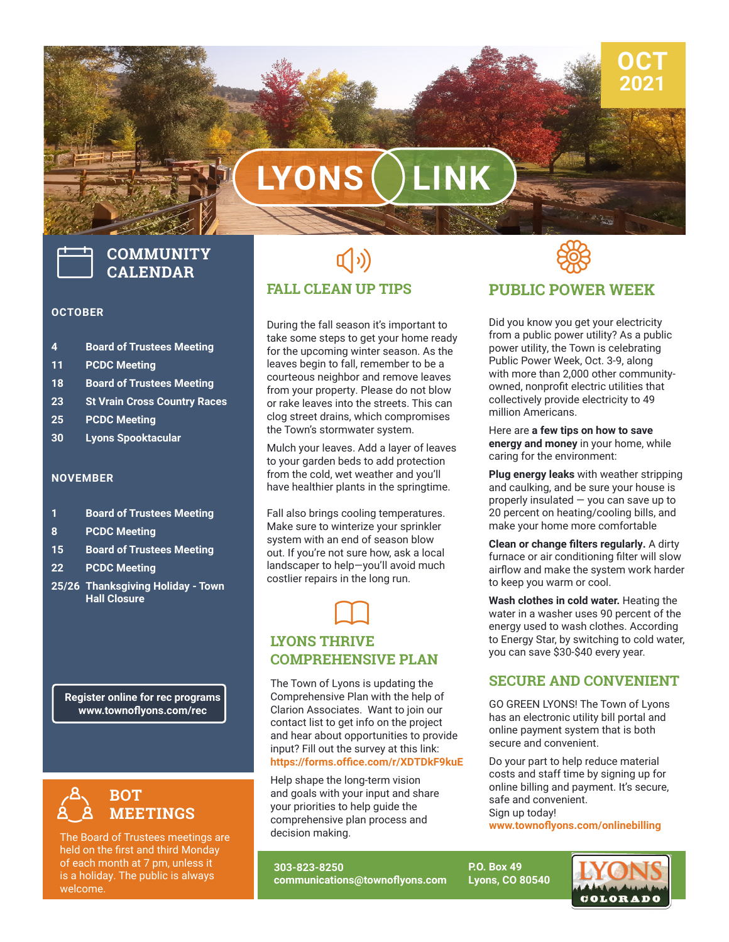# **LYONS LINK**



## **COMMUNITY CALENDAR**

#### **OCTOBER**

- **4 Board of Trustees Meeting**
- **11 PCDC Meeting**
- **18 Board of Trustees Meeting**
- **23 St Vrain Cross Country Races**
- **25 PCDC Meeting**
- **30 Lyons Spooktacular**

### **NOVEMBER**

- **1 Board of Trustees Meeting**
- **8 PCDC Meeting**
- **15 Board of Trustees Meeting**
- **22 PCDC Meeting**
- **25/26 Thanksgiving Holiday Town Hall Closure**

**Register online for rec programs www.townoflyons.com/rec**



The Board of Trustees meetings are held on the first and third Monday of each month at 7 pm, unless it is a holiday. The public is always welcome.

### $\left(\hspace{-2pt}\left(\cdot\right)\right)$ **FALL CLEAN UP TIPS**

During the fall season it's important to take some steps to get your home ready for the upcoming winter season. As the leaves begin to fall, remember to be a courteous neighbor and remove leaves from your property. Please do not blow or rake leaves into the streets. This can clog street drains, which compromises the Town's stormwater system.

Mulch your leaves. Add a layer of leaves to your garden beds to add protection from the cold, wet weather and you'll have healthier plants in the springtime.

Fall also brings cooling temperatures. Make sure to winterize your sprinkler system with an end of season blow out. If you're not sure how, ask a local landscaper to help—you'll avoid much costlier repairs in the long run.



### **LYONS THRIVE COMPREHENSIVE PLAN**

**DID YOU KNOW? https://forms.office.com/r/XDTDkF9kuE** input? Fill out the survey at this link:<br><mark>https://forms.office.com/r/XDTDkF</mark>9 The Town of Lyons is updating the Comprehensive Plan with the help of Clarion Associates. Want to join our contact list to get info on the project and hear about opportunities to provide

Help shape the long-term vision and goals with your input and share your priorities to help guide the comprehensive plan process and decision making.

**303-823-8250 communications@townoflyons.com**



**OCT 2021**

### **PUBLIC POWER WEEK**

Did you know you get your electricity from a public power utility? As a public power utility, the Town is celebrating Public Power Week, Oct. 3-9, along with more than 2,000 other communityowned, nonprofit electric utilities that collectively provide electricity to 49 million Americans.

Here are **a few tips on how to save energy and money** in your home, while caring for the environment:

**Plug energy leaks** with weather stripping and caulking, and be sure your house is properly insulated — you can save up to 20 percent on heating/cooling bills, and make your home more comfortable

**Clean or change filters regularly.** A dirty furnace or air conditioning filter will slow airflow and make the system work harder to keep you warm or cool.

**Wash clothes in cold water.** Heating the water in a washer uses 90 percent of the energy used to wash clothes. According to Energy Star, by switching to cold water, you can save \$30-\$40 every year.

### **SECURE AND CONVENIENT**

GO GREEN LYONS! The Town of Lyons has an electronic utility bill portal and online payment system that is both secure and convenient.

Do your part to help reduce material costs and staff time by signing up for online billing and payment. It's secure, safe and convenient. Sign up today!

**www.townoflyons.com/onlinebilling**

**P.O. Box 49 Lyons, CO 80540**